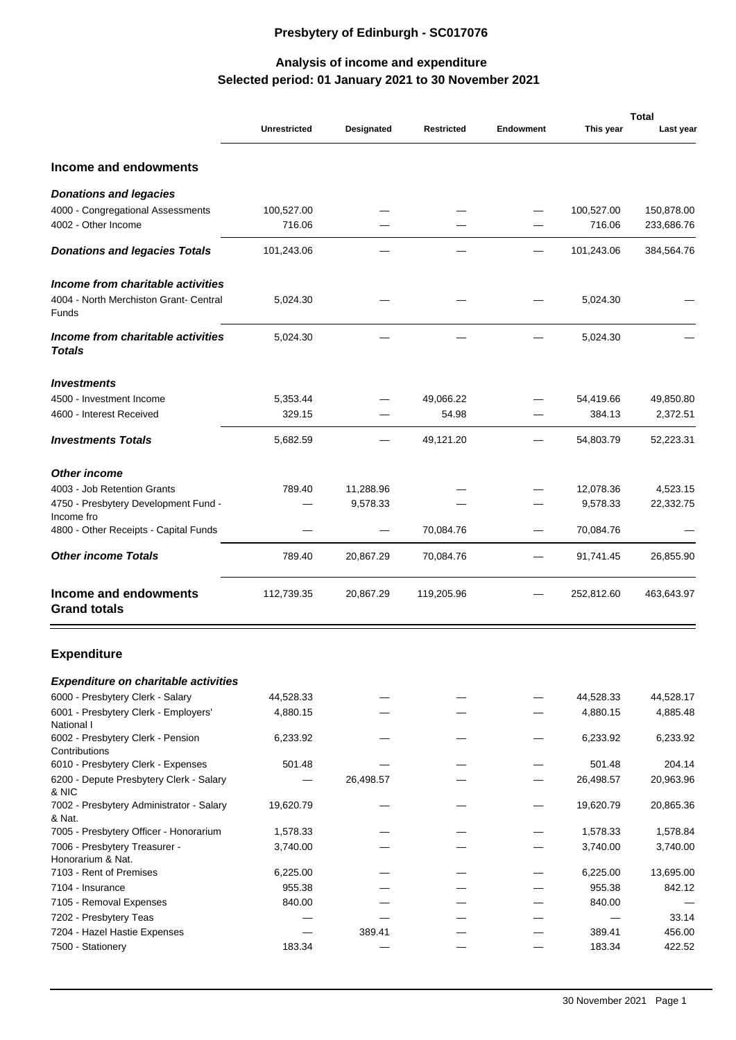## **Presbytery of Edinburgh - SC017076**

## **Selected period: 01 January 2021 to 30 November 2021 Analysis of income and expenditure**

|                                                    | <b>Unrestricted</b> | Designated | <b>Restricted</b> | <b>Endowment</b> | This year  | <b>Total</b><br>Last year |
|----------------------------------------------------|---------------------|------------|-------------------|------------------|------------|---------------------------|
|                                                    |                     |            |                   |                  |            |                           |
| Income and endowments                              |                     |            |                   |                  |            |                           |
| Donations and legacies                             |                     |            |                   |                  |            |                           |
| 4000 - Congregational Assessments                  | 100,527.00          |            |                   |                  | 100,527.00 | 150,878.00                |
| 4002 - Other Income                                | 716.06              |            |                   |                  | 716.06     | 233,686.76                |
| Donations and legacies Totals                      | 101,243.06          |            |                   |                  | 101,243.06 | 384,564.76                |
| Income from charitable activities                  |                     |            |                   |                  |            |                           |
| 4004 - North Merchiston Grant- Central<br>Funds    | 5,024.30            |            |                   |                  | 5,024.30   |                           |
| Income from charitable activities<br>Totals        | 5,024.30            |            |                   |                  | 5,024.30   |                           |
| <i><u><b>Investments</b></u></i>                   |                     |            |                   |                  |            |                           |
| 4500 - Investment Income                           | 5,353.44            |            | 49,066.22         |                  | 54,419.66  | 49,850.80                 |
| 4600 - Interest Received                           | 329.15              |            | 54.98             |                  | 384.13     | 2,372.51                  |
| <b>Investments Totals</b>                          | 5,682.59            |            | 49,121.20         |                  | 54,803.79  | 52,223.31                 |
| Other income                                       |                     |            |                   |                  |            |                           |
| 4003 - Job Retention Grants                        | 789.40              | 11,288.96  |                   |                  | 12,078.36  | 4,523.15                  |
| 4750 - Presbytery Development Fund -               |                     | 9,578.33   |                   |                  | 9,578.33   | 22,332.75                 |
| Income fro                                         |                     |            |                   |                  |            |                           |
| 4800 - Other Receipts - Capital Funds              |                     |            | 70,084.76         |                  | 70,084.76  |                           |
| Other income Totals                                | 789.40              | 20,867.29  | 70,084.76         |                  | 91,741.45  | 26,855.90                 |
| Income and endowments<br><b>Grand totals</b>       | 112,739.35          | 20,867.29  | 119,205.96        |                  | 252,812.60 | 463,643.97                |
| <b>Expenditure</b>                                 |                     |            |                   |                  |            |                           |
| Expenditure on charitable activities               |                     |            |                   |                  |            |                           |
| 6000 - Presbytery Clerk - Salary                   | 44,528.33           |            |                   |                  | 44,528.33  | 44,528.17                 |
| 6001 - Presbytery Clerk - Employers'<br>National I | 4,880.15            |            |                   |                  | 4,880.15   | 4,885.48                  |
| 6002 - Presbytery Clerk - Pension<br>Contributions | 6,233.92            |            |                   |                  | 6,233.92   | 6,233.92                  |
| 6010 - Presbytery Clerk - Expenses                 | 501.48              |            |                   |                  | 501.48     | 204.14                    |
| 6200 - Depute Presbytery Clerk - Salary            |                     | 26,498.57  |                   |                  | 26,498.57  | 20,963.96                 |
| & NIC                                              |                     |            |                   |                  |            |                           |
| 7002 - Presbytery Administrator - Salary<br>& Nat. | 19,620.79           |            |                   |                  | 19,620.79  | 20,865.36                 |
| 7005 - Presbytery Officer - Honorarium             | 1,578.33            |            |                   |                  | 1,578.33   | 1,578.84                  |
| 7006 - Presbytery Treasurer -                      | 3,740.00            |            |                   |                  | 3,740.00   | 3,740.00                  |
| Honorarium & Nat.                                  |                     |            |                   |                  |            |                           |
| 7103 - Rent of Premises                            | 6,225.00            |            |                   |                  | 6,225.00   | 13,695.00                 |
| 7104 - Insurance                                   | 955.38              |            |                   |                  | 955.38     | 842.12                    |
| 7105 - Removal Expenses                            | 840.00              |            |                   |                  | 840.00     |                           |
| 7202 - Presbytery Teas                             |                     |            |                   |                  |            | 33.14                     |
| 7204 - Hazel Hastie Expenses                       |                     | 389.41     |                   |                  | 389.41     | 456.00                    |
| 7500 - Stationery                                  | 183.34              |            |                   |                  | 183.34     | 422.52                    |